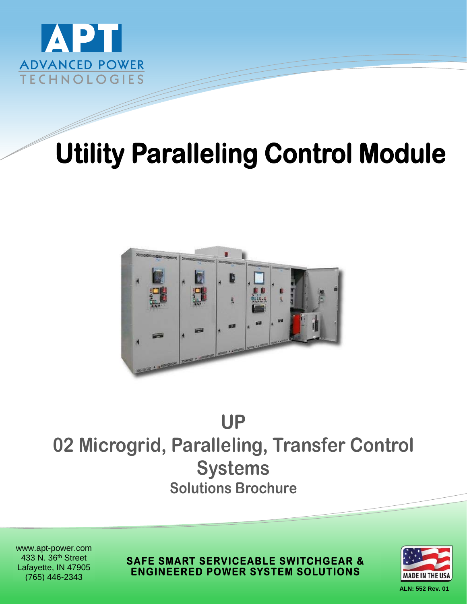

# **Utility Paralleling Control Module**



# **UP 02 Microgrid, Paralleling, Transfer Control Systems Solutions Brochure**

www.apt-power.com 433 N. 36th Street Lafayette, IN 47905 (765) 446-2343

**SAFE SMART SERVICEABLE SWITCHGEAR & ENGINEERED POWER SYSTEM SOLUTIONS** 

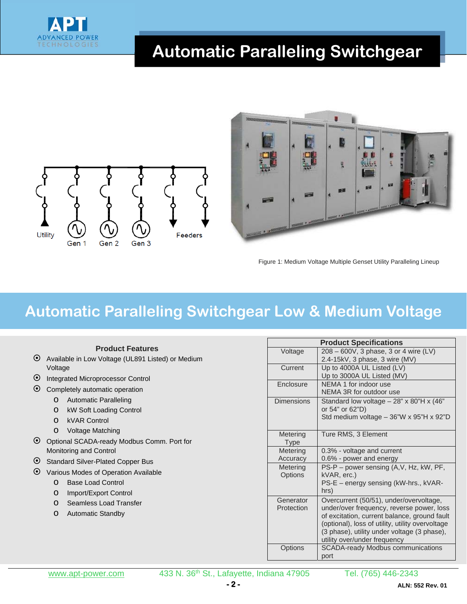

## **Automatic Paralleling Switchgear**



Figure 1: Medium Voltage Multiple Genset Utility Paralleling Lineup

#### **Automatic Paralleling Switchgear Low & Medium Voltage**

#### **Product Features**

- Available in Low Voltage (UL891 Listed) or Medium Voltage
- $\odot$  Integrated Microprocessor Control
- Completely automatic operation
	- o Automatic Paralleling
	- o kW Soft Loading Control
	- o kVAR Control
	- o Voltage Matching
- Optional SCADA-ready Modbus Comm. Port for Monitoring and Control
- Standard Silver-Plated Copper Bus
- Various Modes of Operation Available
	- o Base Load Control
	- o Import/Export Control
	- o Seamless Load Transfer
	- o Automatic Standby

| <b>Product Specifications</b> |                                                                                                                                                                                                                                                                         |
|-------------------------------|-------------------------------------------------------------------------------------------------------------------------------------------------------------------------------------------------------------------------------------------------------------------------|
| Voltage                       | 208 - 600V, 3 phase, 3 or 4 wire (LV)<br>2.4-15kV, 3 phase, 3 wire (MV)                                                                                                                                                                                                 |
| Current                       | Up to 4000A UL Listed (LV)<br>Up to 3000A UL Listed (MV)                                                                                                                                                                                                                |
| Enclosure                     | NEMA 1 for indoor use<br>NEMA 3R for outdoor use                                                                                                                                                                                                                        |
| <b>Dimensions</b>             | Standard low voltage $-28$ " x 80"H x (46"<br>or 54" or 62"D)<br>Std medium voltage - 36"W x 95"H x 92"D                                                                                                                                                                |
| Metering<br><b>Type</b>       | Ture RMS, 3 Element                                                                                                                                                                                                                                                     |
| Metering<br>Accuracy          | 0.3% - voltage and current<br>0.6% - power and energy                                                                                                                                                                                                                   |
| Metering<br>Options           | PS-P – power sensing (A,V, Hz, kW, PF,<br>kVAR, erc.)<br>PS-E - energy sensing (kW-hrs., kVAR-<br>hrs)                                                                                                                                                                  |
| Generator<br>Protection       | Overcurrent (50/51), under/overvoltage,<br>under/over frequency, reverse power, loss<br>of excitation, current balance, ground fault<br>(optional), loss of utility, utility overvoltage<br>(3 phase), utility under voltage (3 phase),<br>utility over/under frequency |
| Options                       | <b>SCADA-ready Modbus communications</b><br>port                                                                                                                                                                                                                        |

www.apt-power.com 433 N. 36<sup>th</sup> St., Lafayette, Indiana 47905 Tel. (765) 446-2343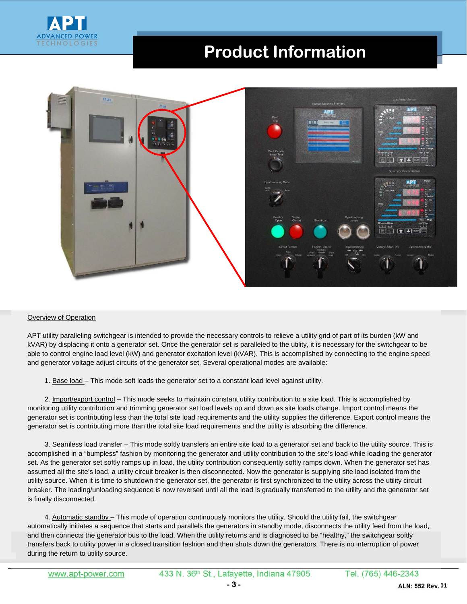

### **Product Information**



#### Overview of Operation

APT utility paralleling switchgear is intended to provide the necessary controls to relieve a utility grid of part of its burden (kW and kVAR) by displacing it onto a generator set. Once the generator set is paralleled to the utility, it is necessary for the switchgear to be able to control engine load level (kW) and generator excitation level (kVAR). This is accomplished by connecting to the engine speed and generator voltage adjust circuits of the generator set. Several operational modes are available:

1. Base load - This mode soft loads the generator set to a constant load level against utility.

2. Import/export control - This mode seeks to maintain constant utility contribution to a site load. This is accomplished by monitoring utility contribution and trimming generator set load levels up and down as site loads change. Import control means the generator set is contributing less than the total site load requirements and the utility supplies the difference. Export control means the generator set is contributing more than the total site load requirements and the utility is absorbing the difference.

3. Seamless load transfer - This mode softly transfers an entire site load to a generator set and back to the utility source. This is accomplished in a "bumpless" fashion by monitoring the generator and utility contribution to the site's load while loading the generator set. As the generator set softly ramps up in load, the utility contribution consequently softly ramps down. When the generator set has assumed all the site's load, a utility circuit breaker is then disconnected. Now the generator is supplying site load isolated from the utility source. When it is time to shutdown the generator set, the generator is first synchronized to the utility across the utility circuit breaker. The loading/unloading sequence is now reversed until all the load is gradually transferred to the utility and the generator set is finally disconnected.

4. Automatic standby – This mode of operation continuously monitors the utility. Should the utility fail, the switchgear automatically initiates a sequence that starts and parallels the generators in standby mode, disconnects the utility feed from the load, and then connects the generator bus to the load. When the utility returns and is diagnosed to be "healthy," the switchgear softly transfers back to utility power in a closed transition fashion and then shuts down the generators. There is no interruption of power during the return to utility source.